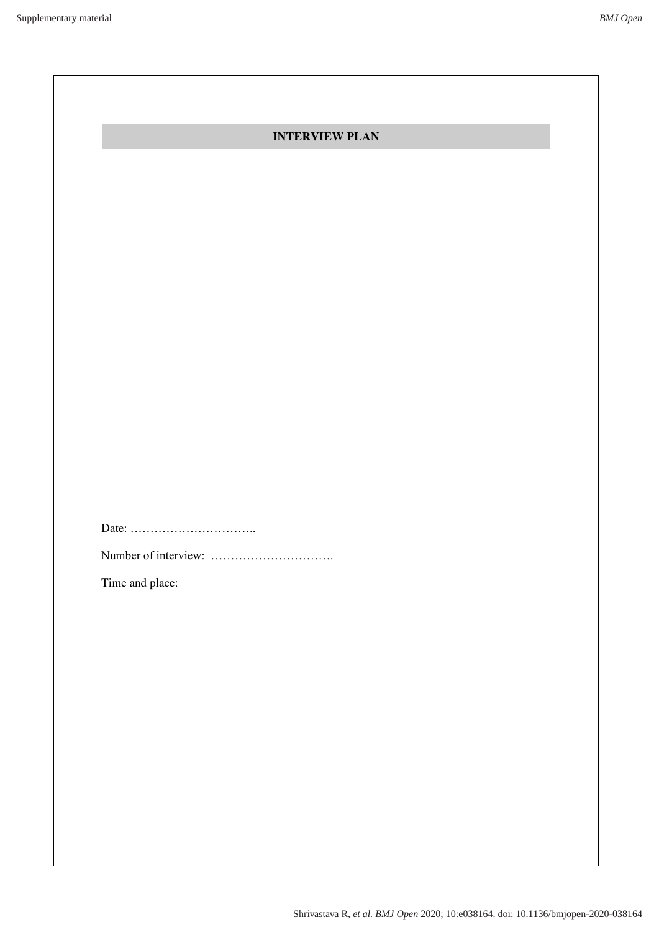| <b>INTERVIEW PLAN</b> |  |
|-----------------------|--|
|                       |  |

Date: …………………………..

Number of interview: ………………………….

Time and place: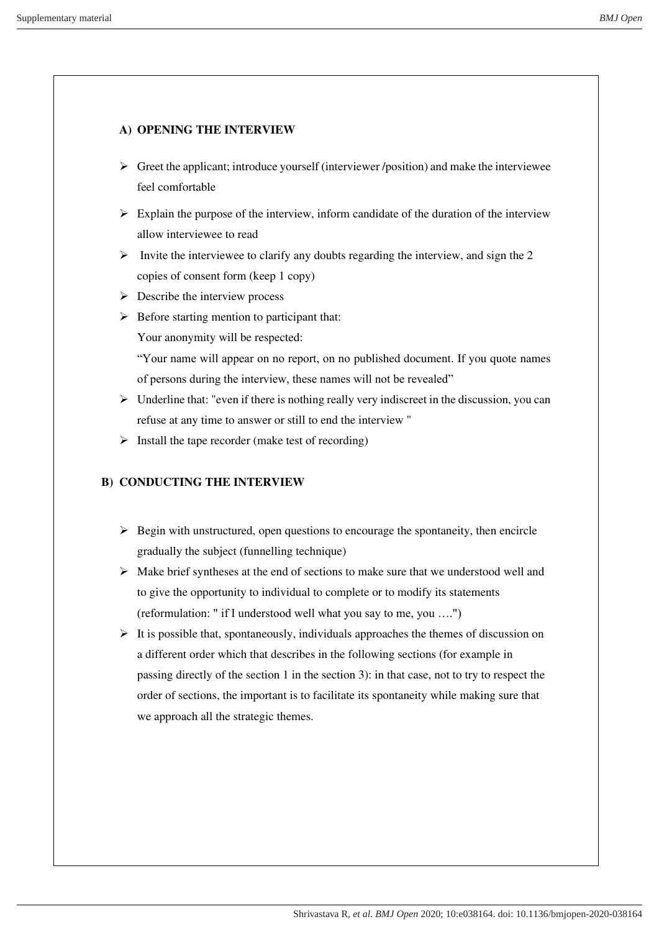# **A) OPENING THE INTERVIEW**

- $\triangleright$  Greet the applicant; introduce yourself (interviewer /position) and make the interviewee feel comfortable
- $\triangleright$  Explain the purpose of the interview, inform candidate of the duration of the interview allow interviewee to read
- $\triangleright$  Invite the interviewee to clarify any doubts regarding the interview, and sign the 2 copies of consent form (keep 1 copy)
- $\triangleright$  Describe the interview process
- $\triangleright$  Before starting mention to participant that:

Your anonymity will be respected:

"Your name will appear on no report, on no published document. If you quote names of persons during the interview, these names will not be revealed"

- $\triangleright$  Underline that: "even if there is nothing really very indiscreet in the discussion, you can refuse at any time to answer or still to end the interview "
- $\triangleright$  Install the tape recorder (make test of recording)

# **B) CONDUCTING THE INTERVIEW**

- $\triangleright$  Begin with unstructured, open questions to encourage the spontaneity, then encircle gradually the subject (funnelling technique)
- ➢ Make brief syntheses at the end of sections to make sure that we understood well and to give the opportunity to individual to complete or to modify its statements (reformulation: " if I understood well what you say to me, you ….")
- $\triangleright$  It is possible that, spontaneously, individuals approaches the themes of discussion on a different order which that describes in the following sections (for example in passing directly of the section 1 in the section 3): in that case, not to try to respect the order of sections, the important is to facilitate its spontaneity while making sure that we approach all the strategic themes.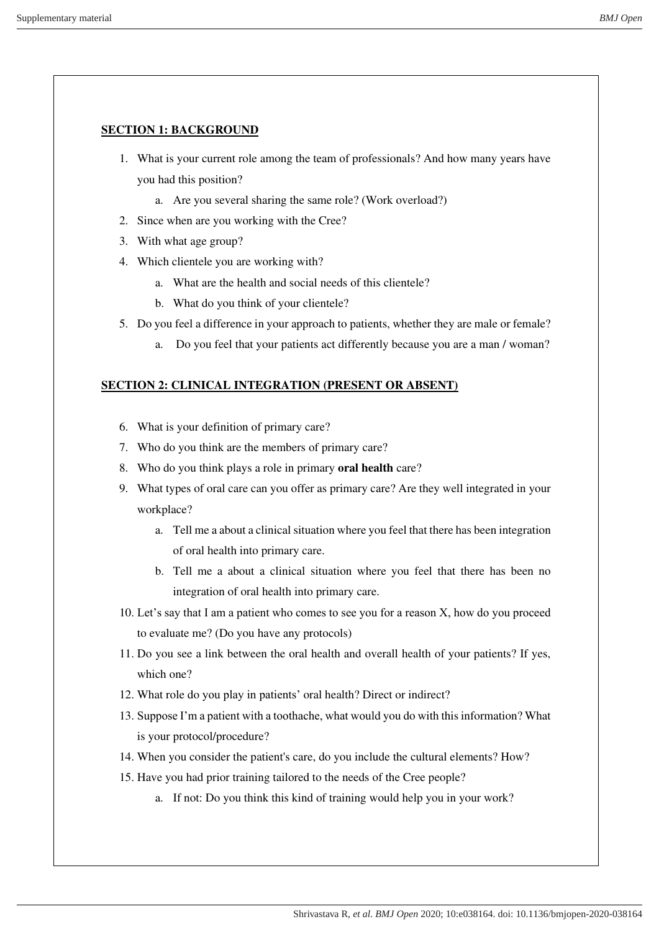### **SECTION 1: BACKGROUND**

- 1. What is your current role among the team of professionals? And how many years have you had this position?
	- a. Are you several sharing the same role? (Work overload?)
- 2. Since when are you working with the Cree?
- 3. With what age group?
- 4. Which clientele you are working with?
	- a. What are the health and social needs of this clientele?
	- b. What do you think of your clientele?
- 5. Do you feel a difference in your approach to patients, whether they are male or female?
	- a. Do you feel that your patients act differently because you are a man / woman?

### **SECTION 2: CLINICAL INTEGRATION (PRESENT OR ABSENT)**

- 6. What is your definition of primary care?
- 7. Who do you think are the members of primary care?
- 8. Who do you think plays a role in primary **oral health** care?
- 9. What types of oral care can you offer as primary care? Are they well integrated in your workplace?
	- a. Tell me a about a clinical situation where you feel that there has been integration of oral health into primary care.
	- b. Tell me a about a clinical situation where you feel that there has been no integration of oral health into primary care.
- 10. Let's say that I am a patient who comes to see you for a reason X, how do you proceed to evaluate me? (Do you have any protocols)
- 11. Do you see a link between the oral health and overall health of your patients? If yes, which one?
- 12. What role do you play in patients' oral health? Direct or indirect?
- 13. Suppose I'm a patient with a toothache, what would you do with this information? What is your protocol/procedure?
- 14. When you consider the patient's care, do you include the cultural elements? How?
- 15. Have you had prior training tailored to the needs of the Cree people?
	- a. If not: Do you think this kind of training would help you in your work?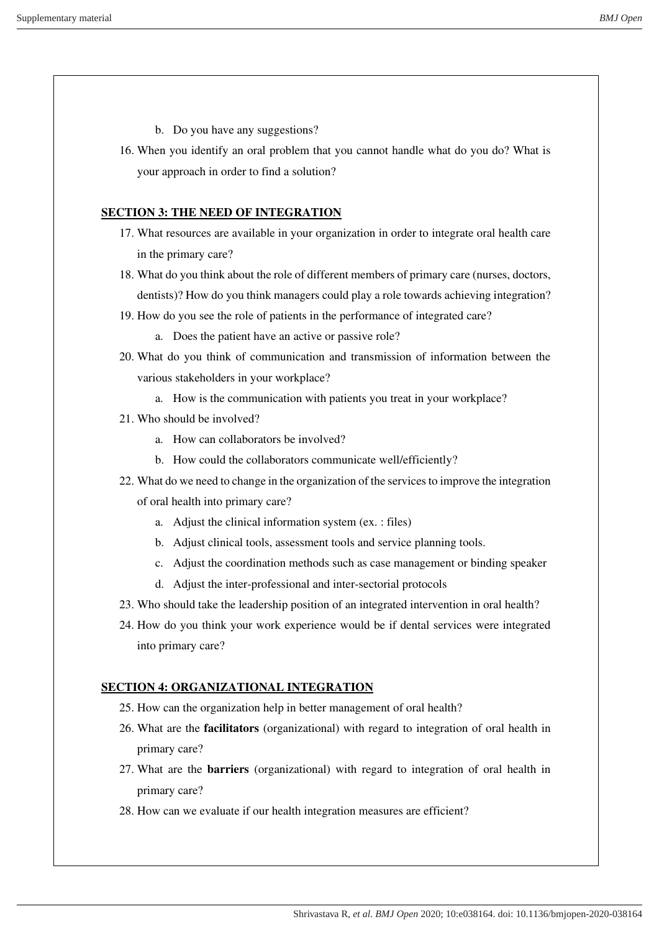- b. Do you have any suggestions?
- 16. When you identify an oral problem that you cannot handle what do you do? What is your approach in order to find a solution?

### **SECTION 3: THE NEED OF INTEGRATION**

- 17. What resources are available in your organization in order to integrate oral health care in the primary care?
- 18. What do you think about the role of different members of primary care (nurses, doctors, dentists)? How do you think managers could play a role towards achieving integration?
- 19. How do you see the role of patients in the performance of integrated care?
	- a. Does the patient have an active or passive role?
- 20. What do you think of communication and transmission of information between the various stakeholders in your workplace?
	- a. How is the communication with patients you treat in your workplace?
- 21. Who should be involved?
	- a. How can collaborators be involved?
	- b. How could the collaborators communicate well/efficiently?
- 22. What do we need to change in the organization of the services to improve the integration
	- of oral health into primary care?
		- a. Adjust the clinical information system (ex. : files)
		- b. Adjust clinical tools, assessment tools and service planning tools.
		- c. Adjust the coordination methods such as case management or binding speaker
		- d. Adjust the inter-professional and inter-sectorial protocols
- 23. Who should take the leadership position of an integrated intervention in oral health?
- 24. How do you think your work experience would be if dental services were integrated into primary care?

### **SECTION 4: ORGANIZATIONAL INTEGRATION**

- 25. How can the organization help in better management of oral health?
- 26. What are the **facilitators** (organizational) with regard to integration of oral health in primary care?
- 27. What are the **barriers** (organizational) with regard to integration of oral health in primary care?
- 28. How can we evaluate if our health integration measures are efficient?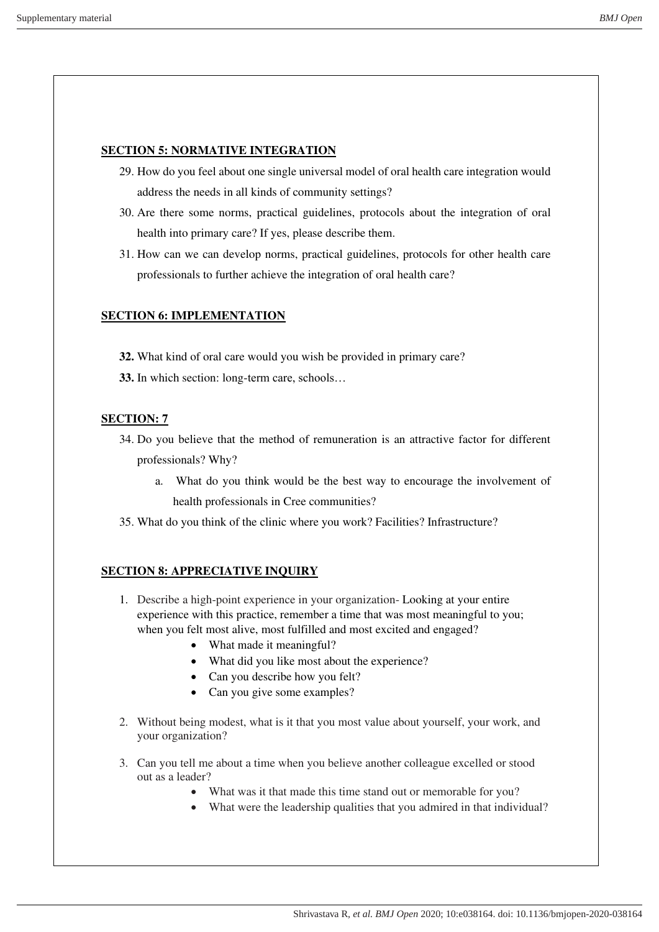## **SECTION 5: NORMATIVE INTEGRATION**

- 29. How do you feel about one single universal model of oral health care integration would address the needs in all kinds of community settings?
- 30. Are there some norms, practical guidelines, protocols about the integration of oral health into primary care? If yes, please describe them.
- 31. How can we can develop norms, practical guidelines, protocols for other health care professionals to further achieve the integration of oral health care?

## **SECTION 6: IMPLEMENTATION**

- **32.** What kind of oral care would you wish be provided in primary care?
- **33.** In which section: long-term care, schools…

### **SECTION: 7**

- 34. Do you believe that the method of remuneration is an attractive factor for different professionals? Why?
	- a. What do you think would be the best way to encourage the involvement of health professionals in Cree communities?
- 35. What do you think of the clinic where you work? Facilities? Infrastructure?

### **SECTION 8: APPRECIATIVE INQUIRY**

- 1. Describe a high-point experience in your organization- Looking at your entire experience with this practice, remember a time that was most meaningful to you; when you felt most alive, most fulfilled and most excited and engaged?
	- What made it meaningful?
	- What did you like most about the experience?
	- Can you describe how you felt?
	- Can you give some examples?
- 2. Without being modest, what is it that you most value about yourself, your work, and your organization?
- 3. Can you tell me about a time when you believe another colleague excelled or stood out as a leader?
	- What was it that made this time stand out or memorable for you?
	- What were the leadership qualities that you admired in that individual?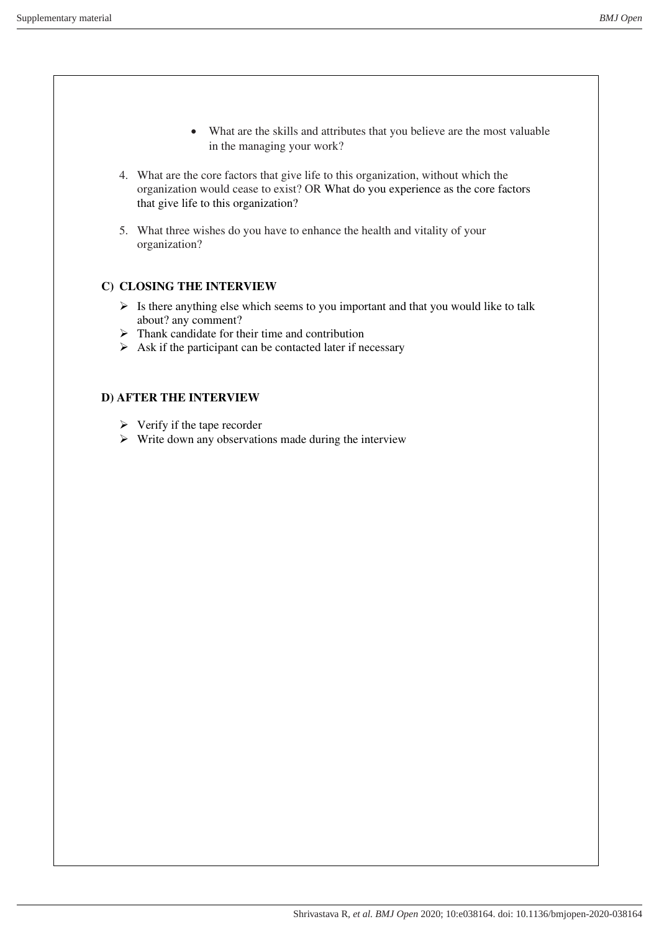- What are the skills and attributes that you believe are the most valuable in the managing your work?
- 4. What are the core factors that give life to this organization, without which the organization would cease to exist? OR What do you experience as the core factors that give life to this organization?
- 5. What three wishes do you have to enhance the health and vitality of your organization?

## **C) CLOSING THE INTERVIEW**

- $\triangleright$  Is there anything else which seems to you important and that you would like to talk about? any comment?
- $\triangleright$  Thank candidate for their time and contribution
- $\triangleright$  Ask if the participant can be contacted later if necessary

### **D) AFTER THE INTERVIEW**

- $\triangleright$  Verify if the tape recorder
- ➢ Write down any observations made during the interview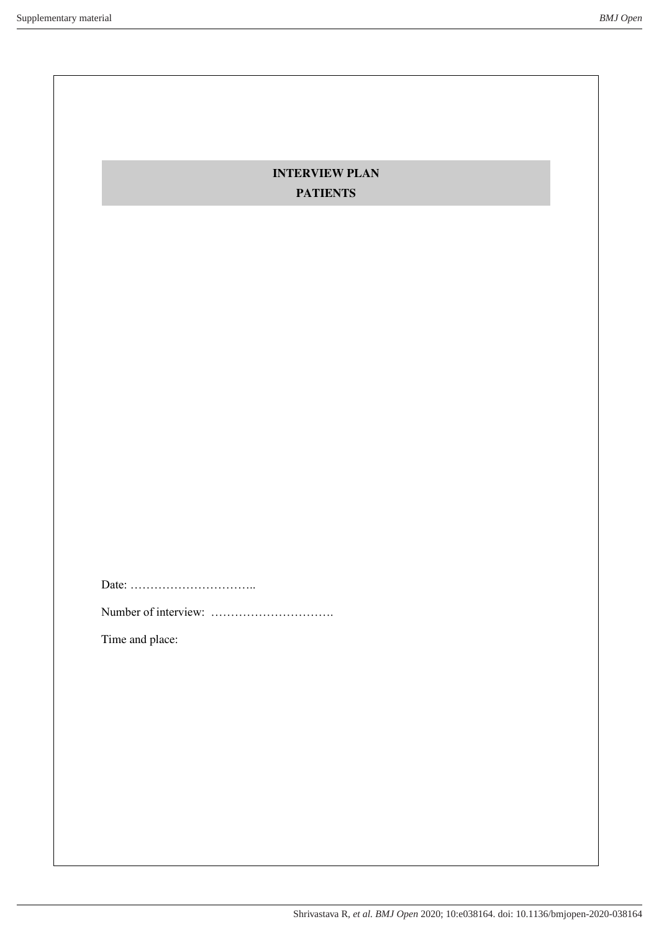# **INTERVIEW PLAN PATIENTS**

Date: …………………………..

Number of interview: ………………………….

Time and place: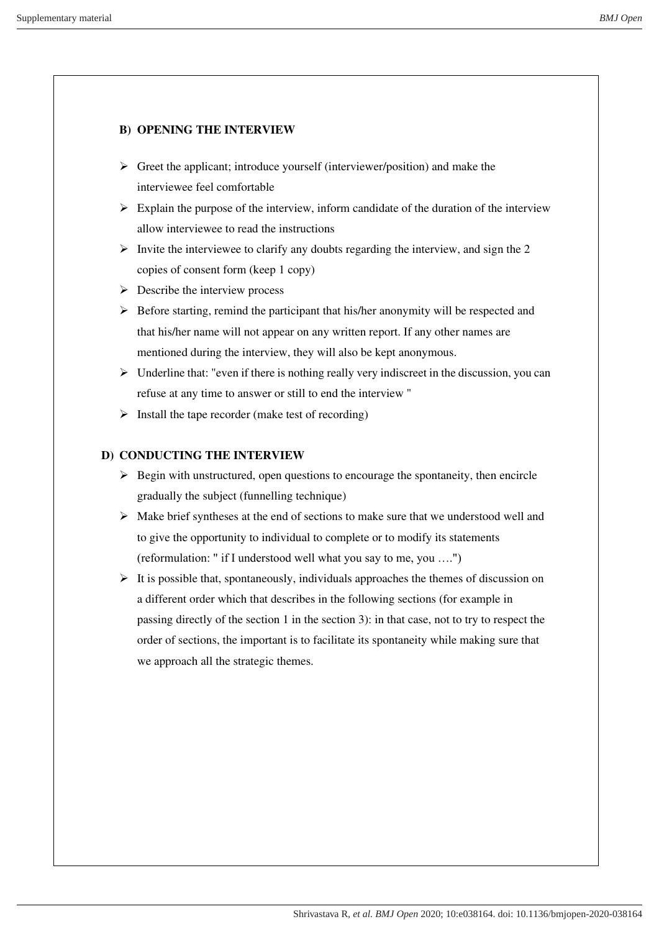## **B) OPENING THE INTERVIEW**

- $\triangleright$  Greet the applicant; introduce yourself (interviewer/position) and make the interviewee feel comfortable
- $\triangleright$  Explain the purpose of the interview, inform candidate of the duration of the interview allow interviewee to read the instructions
- $\triangleright$  Invite the interviewee to clarify any doubts regarding the interview, and sign the 2 copies of consent form (keep 1 copy)
- $\triangleright$  Describe the interview process
- $\triangleright$  Before starting, remind the participant that his/her anonymity will be respected and that his/her name will not appear on any written report. If any other names are mentioned during the interview, they will also be kept anonymous.
- $\triangleright$  Underline that: "even if there is nothing really very indiscreet in the discussion, you can refuse at any time to answer or still to end the interview "
- $\triangleright$  Install the tape recorder (make test of recording)

## **D) CONDUCTING THE INTERVIEW**

- $\triangleright$  Begin with unstructured, open questions to encourage the spontaneity, then encircle gradually the subject (funnelling technique)
- $\triangleright$  Make brief syntheses at the end of sections to make sure that we understood well and to give the opportunity to individual to complete or to modify its statements (reformulation: " if I understood well what you say to me, you ….")
- $\triangleright$  It is possible that, spontaneously, individuals approaches the themes of discussion on a different order which that describes in the following sections (for example in passing directly of the section 1 in the section 3): in that case, not to try to respect the order of sections, the important is to facilitate its spontaneity while making sure that we approach all the strategic themes.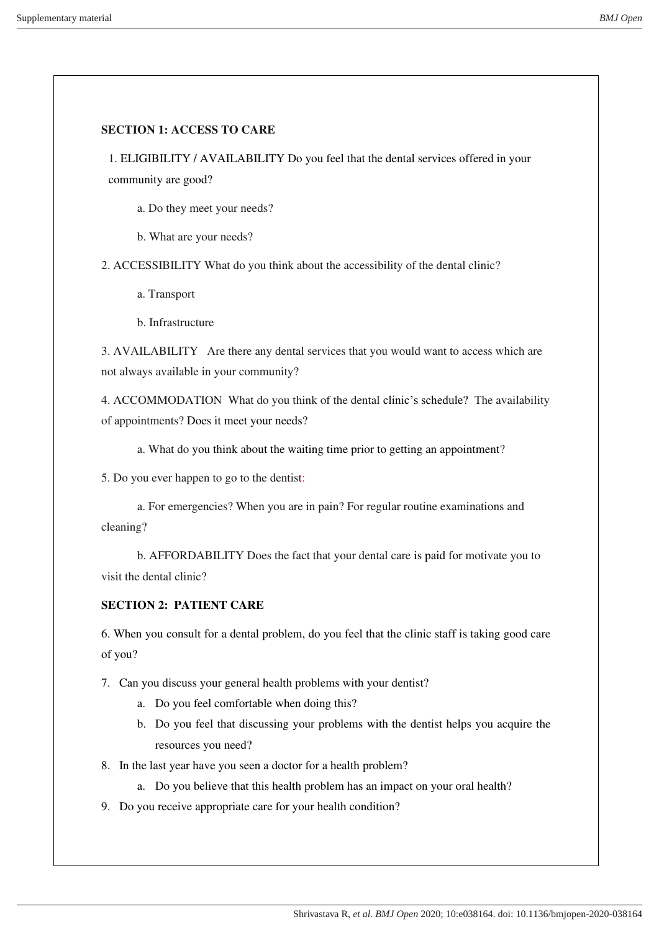### **SECTION 1: ACCESS TO CARE**

1. ELIGIBILITY / AVAILABILITY Do you feel that the dental services offered in your community are good?

a. Do they meet your needs?

b. What are your needs?

2. ACCESSIBILITY What do you think about the accessibility of the dental clinic?

a. Transport

b. Infrastructure

3. AVAILABILITY Are there any dental services that you would want to access which are not always available in your community?

4. ACCOMMODATION What do you think of the dental clinic's schedule? The availability of appointments? Does it meet your needs?

a. What do you think about the waiting time prior to getting an appointment?

5. Do you ever happen to go to the dentist:

a. For emergencies? When you are in pain? For regular routine examinations and cleaning?

b. AFFORDABILITY Does the fact that your dental care is paid for motivate you to visit the dental clinic?

## **SECTION 2: PATIENT CARE**

6. When you consult for a dental problem, do you feel that the clinic staff is taking good care of you?

7. Can you discuss your general health problems with your dentist?

- a. Do you feel comfortable when doing this?
- b. Do you feel that discussing your problems with the dentist helps you acquire the resources you need?

8. In the last year have you seen a doctor for a health problem?

- a. Do you believe that this health problem has an impact on your oral health?
- 9. Do you receive appropriate care for your health condition?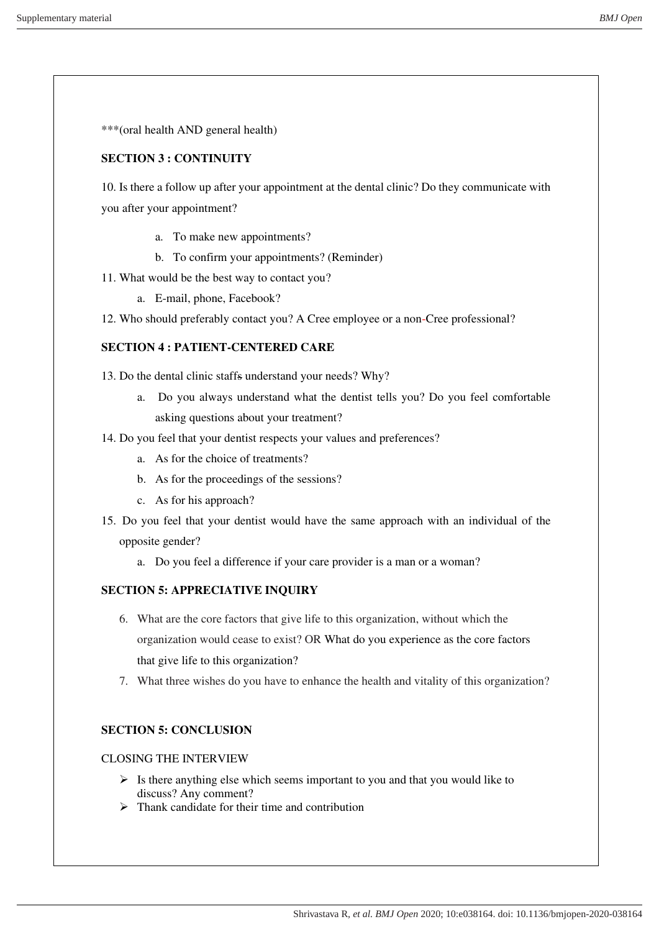\*\*\*(oral health AND general health)

## **SECTION 3 : CONTINUITY**

10. Is there a follow up after your appointment at the dental clinic? Do they communicate with you after your appointment?

- a. To make new appointments?
- b. To confirm your appointments? (Reminder)
- 11. What would be the best way to contact you?
	- a. E-mail, phone, Facebook?
- 12. Who should preferably contact you? A Cree employee or a non-Cree professional?

## **SECTION 4 : PATIENT-CENTERED CARE**

13. Do the dental clinic staffs understand your needs? Why?

- a. Do you always understand what the dentist tells you? Do you feel comfortable asking questions about your treatment?
- 14. Do you feel that your dentist respects your values and preferences?
	- a. As for the choice of treatments?
	- b. As for the proceedings of the sessions?
	- c. As for his approach?
- 15. Do you feel that your dentist would have the same approach with an individual of the opposite gender?
	- a. Do you feel a difference if your care provider is a man or a woman?

# **SECTION 5: APPRECIATIVE INQUIRY**

- 6. What are the core factors that give life to this organization, without which the organization would cease to exist? OR What do you experience as the core factors that give life to this organization?
- 7. What three wishes do you have to enhance the health and vitality of this organization?

# **SECTION 5: CONCLUSION**

## CLOSING THE INTERVIEW

- $\triangleright$  Is there anything else which seems important to you and that you would like to discuss? Any comment?
- $\triangleright$  Thank candidate for their time and contribution